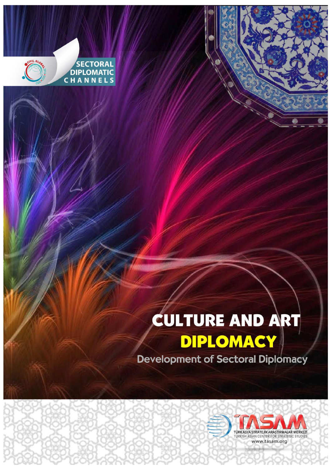

SECTORAL<br>DIPLOMATIC<br>C H A N N E L S

## CULTURE AND ART DIPLOMACY

**Development of Sectoral Diplomacy** 

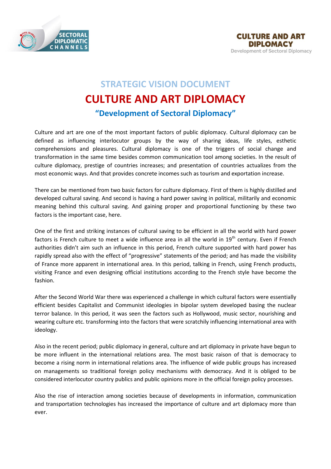



## **STRATEGIC VISION DOCUMENT CULTURE AND ART DIPLOMACY "Development of Sectoral Diplomacy"**

Culture and art are one of the most important factors of public diplomacy. Cultural diplomacy can be defined as influencing interlocutor groups by the way of sharing ideas, life styles, esthetic comprehensions and pleasures. Cultural diplomacy is one of the triggers of social change and transformation in the same time besides common communication tool among societies. In the result of culture diplomacy, prestige of countries increases; and presentation of countries actualizes from the most economic ways. And that provides concrete incomes such as tourism and exportation increase.

There can be mentioned from two basic factors for culture diplomacy. First of them is highly distilled and developed cultural saving. And second is having a hard power saving in political, militarily and economic meaning behind this cultural saving. And gaining proper and proportional functioning by these two factors is the important case, here.

One of the first and striking instances of cultural saving to be efficient in all the world with hard power factors is French culture to meet a wide influence area in all the world in 19<sup>th</sup> century. Even if French authorities didn't aim such an influence in this period, French culture supported with hard power has rapidly spread also with the effect of "progressive" statements of the period; and has made the visibility of France more apparent in international area. In this period, talking in French, using French products, visiting France and even designing official institutions according to the French style have become the fashion.

After the Second World War there was experienced a challenge in which cultural factors were essentially efficient besides Capitalist and Communist ideologies in bipolar system developed basing the nuclear terror balance. In this period, it was seen the factors such as Hollywood, music sector, nourishing and wearing culture etc. transforming into the factors that were scratchily influencing international area with ideology.

Also in the recent period; public diplomacy in general, culture and art diplomacy in private have begun to be more influent in the international relations area. The most basic raison of that is democracy to become a rising norm in international relations area. The influence of wide public groups has increased on managements so traditional foreign policy mechanisms with democracy. And it is obliged to be considered interlocutor country publics and public opinions more in the official foreign policy processes.

Also the rise of interaction among societies because of developments in information, communication and transportation technologies has increased the importance of culture and art diplomacy more than ever.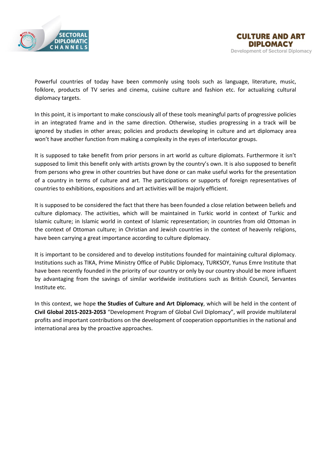

Powerful countries of today have been commonly using tools such as language, literature, music, folklore, products of TV series and cinema, cuisine culture and fashion etc. for actualizing cultural diplomacy targets.

In this point, it is important to make consciously all of these tools meaningful parts of progressive policies in an integrated frame and in the same direction. Otherwise, studies progressing in a track will be ignored by studies in other areas; policies and products developing in culture and art diplomacy area won't have another function from making a complexity in the eyes of interlocutor groups.

It is supposed to take benefit from prior persons in art world as culture diplomats. Furthermore it isn't supposed to limit this benefit only with artists grown by the country's own. It is also supposed to benefit from persons who grew in other countries but have done or can make useful works for the presentation of a country in terms of culture and art. The participations or supports of foreign representatives of countries to exhibitions, expositions and art activities will be majorly efficient.

It is supposed to be considered the fact that there has been founded a close relation between beliefs and culture diplomacy. The activities, which will be maintained in Turkic world in context of Turkic and Islamic culture; in Islamic world in context of Islamic representation; in countries from old Ottoman in the context of Ottoman culture; in Christian and Jewish countries in the context of heavenly religions, have been carrying a great importance according to culture diplomacy.

It is important to be considered and to develop institutions founded for maintaining cultural diplomacy. Institutions such as TIKA, Prime Ministry Office of Public Diplomacy, TURKSOY, Yunus Emre Institute that have been recently founded in the priority of our country or only by our country should be more influent by advantaging from the savings of similar worldwide institutions such as British Council, Servantes Institute etc.

In this context, we hope **the Studies of Culture and Art Diplomacy**, which will be held in the content of **Civil Global 2015-2023-2053** "Development Program of Global Civil Diplomacy", will provide multilateral profits and important contributions on the development of cooperation opportunities in the national and international area by the proactive approaches.